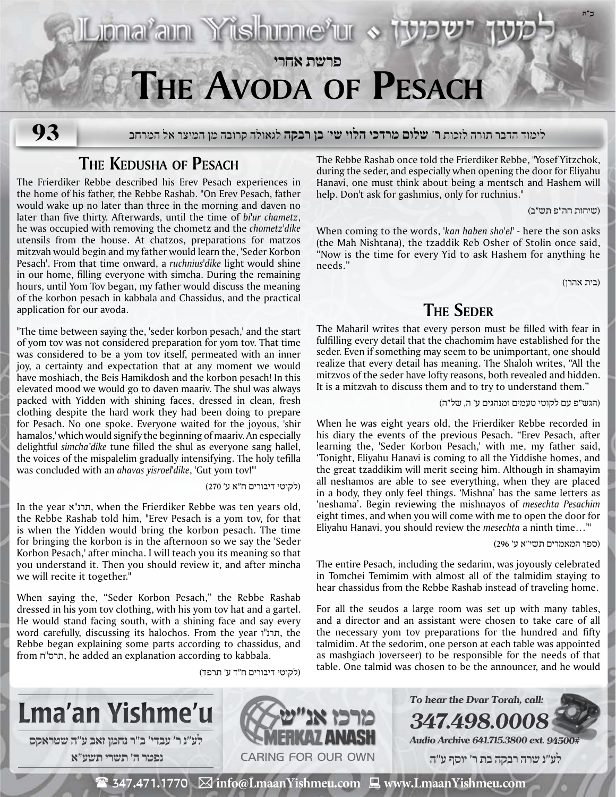

**The Kedusha of Pesach**

The Frierdiker Rebbe described his Erev Pesach experiences in the home of his father, the Rebbe Rashab. "On Erev Pesach, father would wake up no later than three in the morning and daven no later than five thirty. Afterwards, until the time of *bi'ur chametz*, he was occupied with removing the chometz and the *chometz'dike* utensils from the house. At chatzos, preparations for matzos mitzvah would begin and my father would learn the, 'Seder Korbon Pesach'. From that time onward, a *ruchnius'dike* light would shine in our home, filling everyone with simcha. During the remaining hours, until Yom Tov began, my father would discuss the meaning of the korbon pesach in kabbala and Chassidus, and the practical application for our avoda.

"The time between saying the, 'seder korbon pesach,' and the start of yom tov was not considered preparation for yom tov. That time was considered to be a yom tov itself, permeated with an inner joy, a certainty and expectation that at any moment we would have moshiach, the Beis Hamikdosh and the korbon pesach! In this elevated mood we would go to daven maariv. The shul was always packed with Yidden with shining faces, dressed in clean, fresh clothing despite the hard work they had been doing to prepare for Pesach. No one spoke. Everyone waited for the joyous, 'shir hamalos,' which would signify the beginning of maariv. An especially delightful *simcha'dike* tune filled the shul as everyone sang hallel, the voices of the mispalelim gradually intensifying. The holy tefilla was concluded with an *ahavas yisroel'dike*, 'Gut yom tov!'"

(לקוטי דיבורים ח"א ע' 270)

In the year א"תרנ, when the Frierdiker Rebbe was ten years old, the Rebbe Rashab told him, "Erev Pesach is a yom tov, for that is when the Yidden would bring the korbon pesach. The time for bringing the korbon is in the afternoon so we say the 'Seder Korbon Pesach,' after mincha. I will teach you its meaning so that you understand it. Then you should review it, and after mincha we will recite it together."

When saying the, "Seder Korbon Pesach," the Rebbe Rashab dressed in his yom tov clothing, with his yom tov hat and a gartel. He would stand facing south, with a shining face and say every word carefully, discussing its halochos. From the year תרנ"ו, the Rebbe began explaining some parts according to chassidus, and from ח"תרס, he added an explanation according to kabbala.

(לקוטי דיבורים ח"ד ע' תרפד)

The Rebbe Rashab once told the Frierdiker Rebbe, "Yosef Yitzchok, during the seder, and especially when opening the door for Eliyahu Hanavi, one must think about being a mentsch and Hashem will help. Don't ask for gashmius, only for ruchnius."

(שיחות חה"פ תש"ב)

When coming to the words, *'kan haben sho'el'* - here the son asks (the Mah Nishtana), the tzaddik Reb Osher of Stolin once said, "Now is the time for every Yid to ask Hashem for anything he needs."

(בית אהרן)

## **The Seder**

The Maharil writes that every person must be filled with fear in fulfilling every detail that the chachomim have established for the seder. Even if something may seem to be unimportant, one should realize that every detail has meaning. The Shaloh writes, "All the mitzvos of the seder have lofty reasons, both revealed and hidden. It is a mitzvah to discuss them and to try to understand them."

(הגש"פ עם לקוטי טעמים ומנהגים ע' ה, של"ה)

When he was eight years old, the Frierdiker Rebbe recorded in his diary the events of the previous Pesach. "Erev Pesach, after learning the, 'Seder Korbon Pesach,' with me, my father said, 'Tonight, Eliyahu Hanavi is coming to all the Yiddishe homes, and the great tzaddikim will merit seeing him. Although in shamayim all neshamos are able to see everything, when they are placed in a body, they only feel things. 'Mishna' has the same letters as 'neshama'. Begin reviewing the mishnayos of *mesechta Pesachim* eight times, and when you will come with me to open the door for Eliyahu Hanavi, you should review the *mesechta* a ninth time…'"

(ספר המאמרים תשי"א ע' 296)

The entire Pesach, including the sedarim, was joyously celebrated in Tomchei Temimim with almost all of the talmidim staying to hear chassidus from the Rebbe Rashab instead of traveling home.

For all the seudos a large room was set up with many tables, and a director and an assistant were chosen to take care of all the necessary yom tov preparations for the hundred and fifty talmidim. At the sedorim, one person at each table was appointed as mashgiach )overseer) to be responsible for the needs of that table. One talmid was chosen to be the announcer, and he would



 $\mathbf{\mathcal{F}}$  347.471.1770  $\boxtimes$  info@LmaanYishmeu.com  $\mathbf{\mathcal{F}}$  www.LmaanYishmeu.com